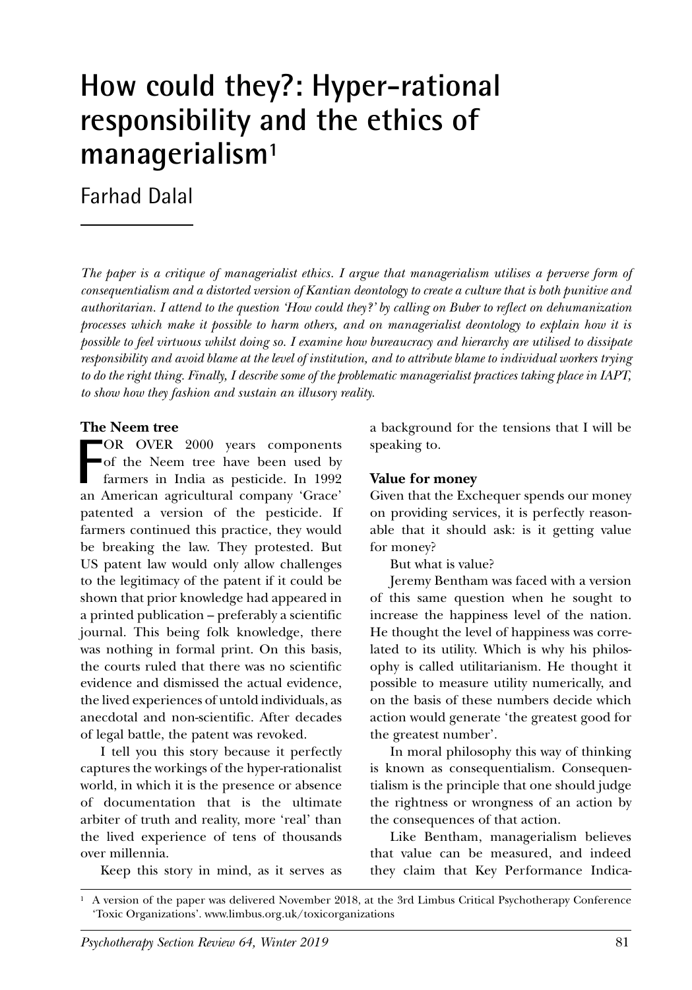# **How could they?: Hyper-rational responsibility and the ethics of managerialism1**

Farhad Dalal

*The paper is a critique of managerialist ethics. I argue that managerialism utilises a perverse form of consequentialism and a distorted version of Kantian deontology to create a culture that is both punitive and authoritarian. I attend to the question 'How could they?' by calling on Buber to reflect on dehumanization processes which make it possible to harm others, and on managerialist deontology to explain how it is possible to feel virtuous whilst doing so. I examine how bureaucracy and hierarchy are utilised to dissipate responsibility and avoid blame at the level of institution, and to attribute blame to individual workers trying to do the right thing. Finally, I describe some of the problematic managerialist practices taking place in IAPT, to show how they fashion and sustain an illusory reality.*

#### **The Neem tree**

**F** OR OVER 2000 years components of the Neem tree have been used by farmers in India as pesticide. In 1992 an American agricultural company 'Grace' patented a version of the pesticide. If farmers continued this practice, they would be breaking the law. They protested. But US patent law would only allow challenges to the legitimacy of the patent if it could be shown that prior knowledge had appeared in a printed publication – preferably a scientific journal. This being folk knowledge, there was nothing in formal print. On this basis, the courts ruled that there was no scientific evidence and dismissed the actual evidence, the lived experiences of untold individuals, as anecdotal and non-scientific. After decades of legal battle, the patent was revoked.

I tell you this story because it perfectly captures the workings of the hyper-rationalist world, in which it is the presence or absence of documentation that is the ultimate arbiter of truth and reality, more 'real' than the lived experience of tens of thousands over millennia.

Keep this story in mind, as it serves as

a background for the tensions that I will be speaking to.

#### **Value for money**

Given that the Exchequer spends our money on providing services, it is perfectly reasonable that it should ask: is it getting value for money?

But what is value?

Jeremy Bentham was faced with a version of this same question when he sought to increase the happiness level of the nation. He thought the level of happiness was correlated to its utility. Which is why his philosophy is called utilitarianism. He thought it possible to measure utility numerically, and on the basis of these numbers decide which action would generate 'the greatest good for the greatest number'.

In moral philosophy this way of thinking is known as consequentialism. Consequentialism is the principle that one should judge the rightness or wrongness of an action by the consequences of that action.

Like Bentham, managerialism believes that value can be measured, and indeed they claim that Key Performance Indica-

<sup>1</sup> A version of the paper was delivered November 2018, at the 3rd Limbus Critical Psychotherapy Conference 'Toxic Organizations'. www.limbus.org.uk/toxicorganizations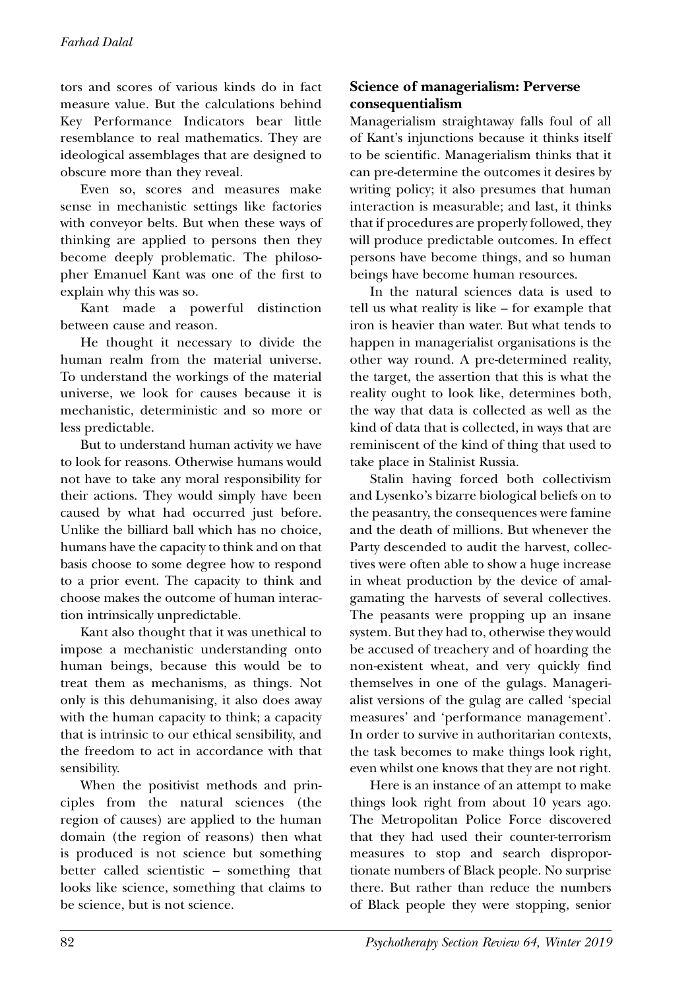tors and scores of various kinds do in fact measure value. But the calculations behind Key Performance Indicators bear little resemblance to real mathematics. They are ideological assemblages that are designed to obscure more than they reveal.

Even so, scores and measures make sense in mechanistic settings like factories with conveyor belts. But when these ways of thinking are applied to persons then they become deeply problematic. The philosopher Emanuel Kant was one of the first to explain why this was so.

Kant made a powerful distinction between cause and reason.

He thought it necessary to divide the human realm from the material universe. To understand the workings of the material universe, we look for causes because it is mechanistic, deterministic and so more or less predictable.

But to understand human activity we have to look for reasons. Otherwise humans would not have to take any moral responsibility for their actions. They would simply have been caused by what had occurred just before. Unlike the billiard ball which has no choice, humans have the capacity to think and on that basis choose to some degree how to respond to a prior event. The capacity to think and choose makes the outcome of human interaction intrinsically unpredictable.

Kant also thought that it was unethical to impose a mechanistic understanding onto human beings, because this would be to treat them as mechanisms, as things. Not only is this dehumanising, it also does away with the human capacity to think; a capacity that is intrinsic to our ethical sensibility, and the freedom to act in accordance with that sensibility.

When the positivist methods and principles from the natural sciences (the region of causes) are applied to the human domain (the region of reasons) then what is produced is not science but something better called scientistic – something that looks like science, something that claims to be science, but is not science.

# **Science of managerialism: Perverse consequentialism**

Managerialism straightaway falls foul of all of Kant's injunctions because it thinks itself to be scientific. Managerialism thinks that it can pre-determine the outcomes it desires by writing policy; it also presumes that human interaction is measurable; and last, it thinks that if procedures are properly followed, they will produce predictable outcomes. In effect persons have become things, and so human beings have become human resources.

In the natural sciences data is used to tell us what reality is like – for example that iron is heavier than water. But what tends to happen in managerialist organisations is the other way round. A pre-determined reality, the target, the assertion that this is what the reality ought to look like, determines both, the way that data is collected as well as the kind of data that is collected, in ways that are reminiscent of the kind of thing that used to take place in Stalinist Russia.

Stalin having forced both collectivism and Lysenko's bizarre biological beliefs on to the peasantry, the consequences were famine and the death of millions. But whenever the Party descended to audit the harvest, collectives were often able to show a huge increase in wheat production by the device of amalgamating the harvests of several collectives. The peasants were propping up an insane system. But they had to, otherwise they would be accused of treachery and of hoarding the non-existent wheat, and very quickly find themselves in one of the gulags. Managerialist versions of the gulag are called 'special measures' and 'performance management'. In order to survive in authoritarian contexts, the task becomes to make things look right, even whilst one knows that they are not right.

Here is an instance of an attempt to make things look right from about 10 years ago. The Metropolitan Police Force discovered that they had used their counter-terrorism measures to stop and search disproportionate numbers of Black people. No surprise there. But rather than reduce the numbers of Black people they were stopping, senior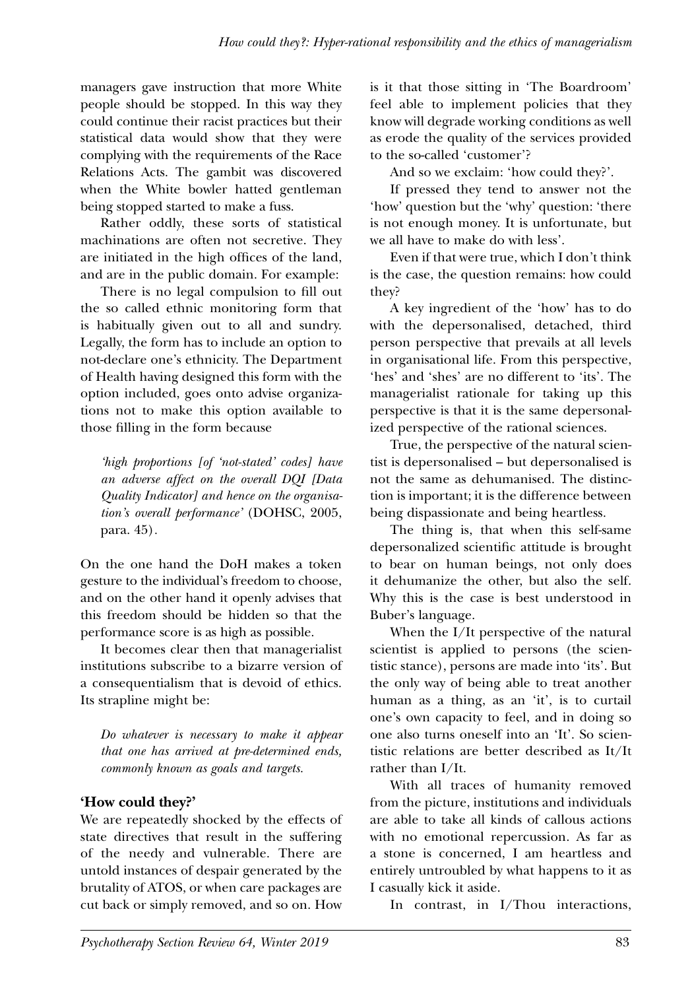managers gave instruction that more White people should be stopped. In this way they could continue their racist practices but their statistical data would show that they were complying with the requirements of the Race Relations Acts. The gambit was discovered when the White bowler hatted gentleman being stopped started to make a fuss.

Rather oddly, these sorts of statistical machinations are often not secretive. They are initiated in the high offices of the land, and are in the public domain. For example:

There is no legal compulsion to fill out the so called ethnic monitoring form that is habitually given out to all and sundry. Legally, the form has to include an option to not-declare one's ethnicity. The Department of Health having designed this form with the option included, goes onto advise organizations not to make this option available to those filling in the form because

*'high proportions [of 'not-stated' codes] have an adverse affect on the overall DQI [Data Quality Indicator] and hence on the organisation's overall performance'* (DOHSC, 2005, para. 45)*.*

On the one hand the DoH makes a token gesture to the individual's freedom to choose, and on the other hand it openly advises that this freedom should be hidden so that the performance score is as high as possible.

It becomes clear then that managerialist institutions subscribe to a bizarre version of a consequentialism that is devoid of ethics. Its strapline might be:

*Do whatever is necessary to make it appear that one has arrived at pre-determined ends, commonly known as goals and targets.*

# **'How could they?'**

We are repeatedly shocked by the effects of state directives that result in the suffering of the needy and vulnerable. There are untold instances of despair generated by the brutality of ATOS, or when care packages are cut back or simply removed, and so on. How

is it that those sitting in 'The Boardroom' feel able to implement policies that they know will degrade working conditions as well as erode the quality of the services provided to the so-called 'customer'?

And so we exclaim: 'how could they?'.

If pressed they tend to answer not the 'how' question but the 'why' question: 'there is not enough money. It is unfortunate, but we all have to make do with less'.

Even if that were true, which I don't think is the case, the question remains: how could they?

A key ingredient of the 'how' has to do with the depersonalised, detached, third person perspective that prevails at all levels in organisational life. From this perspective, 'hes' and 'shes' are no different to 'its'. The managerialist rationale for taking up this perspective is that it is the same depersonalized perspective of the rational sciences.

True, the perspective of the natural scientist is depersonalised – but depersonalised is not the same as dehumanised. The distinction is important; it is the difference between being dispassionate and being heartless.

The thing is, that when this self-same depersonalized scientific attitude is brought to bear on human beings, not only does it dehumanize the other, but also the self. Why this is the case is best understood in Buber's language.

When the I/It perspective of the natural scientist is applied to persons (the scientistic stance), persons are made into 'its'. But the only way of being able to treat another human as a thing, as an 'it', is to curtail one's own capacity to feel, and in doing so one also turns oneself into an 'It'. So scientistic relations are better described as It/It rather than I/It.

With all traces of humanity removed from the picture, institutions and individuals are able to take all kinds of callous actions with no emotional repercussion. As far as a stone is concerned, I am heartless and entirely untroubled by what happens to it as I casually kick it aside.

In contrast, in I/Thou interactions,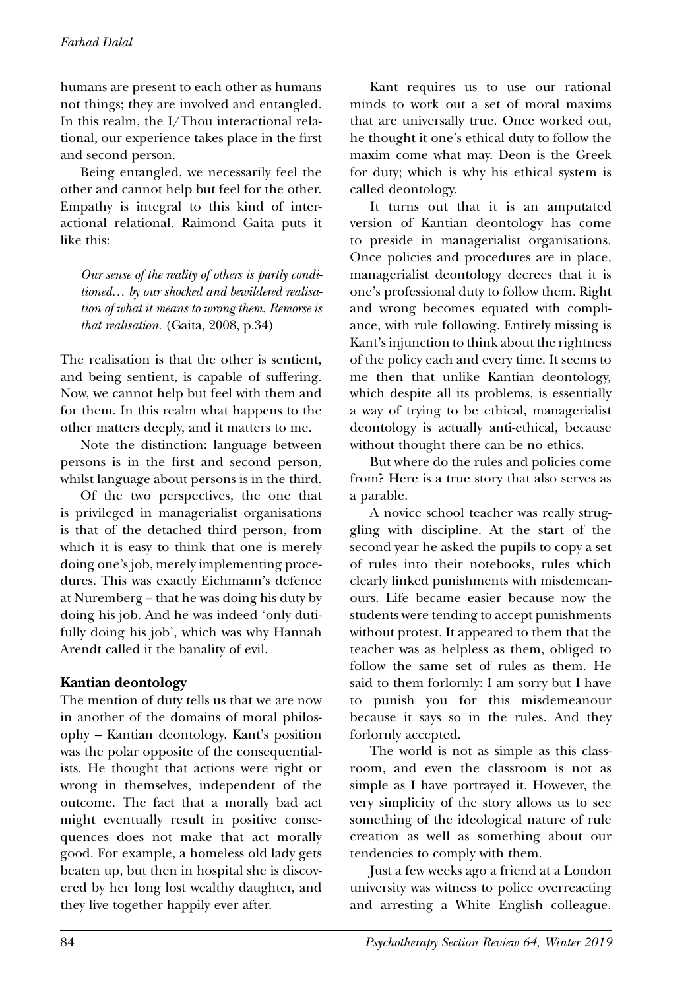humans are present to each other as humans not things; they are involved and entangled. In this realm, the I/Thou interactional relational, our experience takes place in the first and second person.

Being entangled, we necessarily feel the other and cannot help but feel for the other. Empathy is integral to this kind of interactional relational. Raimond Gaita puts it like this:

*Our sense of the reality of others is partly conditioned… by our shocked and bewildered realisation of what it means to wrong them. Remorse is that realisation.* (Gaita, 2008, p.34)

The realisation is that the other is sentient, and being sentient, is capable of suffering. Now, we cannot help but feel with them and for them. In this realm what happens to the other matters deeply, and it matters to me.

Note the distinction: language between persons is in the first and second person, whilst language about persons is in the third.

Of the two perspectives, the one that is privileged in managerialist organisations is that of the detached third person, from which it is easy to think that one is merely doing one's job, merely implementing procedures. This was exactly Eichmann's defence at Nuremberg – that he was doing his duty by doing his job. And he was indeed 'only dutifully doing his job', which was why Hannah Arendt called it the banality of evil.

## **Kantian deontology**

The mention of duty tells us that we are now in another of the domains of moral philosophy – Kantian deontology. Kant's position was the polar opposite of the consequentialists. He thought that actions were right or wrong in themselves, independent of the outcome. The fact that a morally bad act might eventually result in positive consequences does not make that act morally good. For example, a homeless old lady gets beaten up, but then in hospital she is discovered by her long lost wealthy daughter, and they live together happily ever after.

Kant requires us to use our rational minds to work out a set of moral maxims that are universally true. Once worked out, he thought it one's ethical duty to follow the maxim come what may. Deon is the Greek for duty; which is why his ethical system is called deontology.

It turns out that it is an amputated version of Kantian deontology has come to preside in managerialist organisations. Once policies and procedures are in place, managerialist deontology decrees that it is one's professional duty to follow them. Right and wrong becomes equated with compliance, with rule following. Entirely missing is Kant's injunction to think about the rightness of the policy each and every time. It seems to me then that unlike Kantian deontology, which despite all its problems, is essentially a way of trying to be ethical, managerialist deontology is actually anti-ethical, because without thought there can be no ethics.

But where do the rules and policies come from? Here is a true story that also serves as a parable.

A novice school teacher was really struggling with discipline. At the start of the second year he asked the pupils to copy a set of rules into their notebooks, rules which clearly linked punishments with misdemeanours. Life became easier because now the students were tending to accept punishments without protest. It appeared to them that the teacher was as helpless as them, obliged to follow the same set of rules as them. He said to them forlornly: I am sorry but I have to punish you for this misdemeanour because it says so in the rules. And they forlornly accepted.

The world is not as simple as this classroom, and even the classroom is not as simple as I have portrayed it. However, the very simplicity of the story allows us to see something of the ideological nature of rule creation as well as something about our tendencies to comply with them.

Just a few weeks ago a friend at a London university was witness to police overreacting and arresting a White English colleague.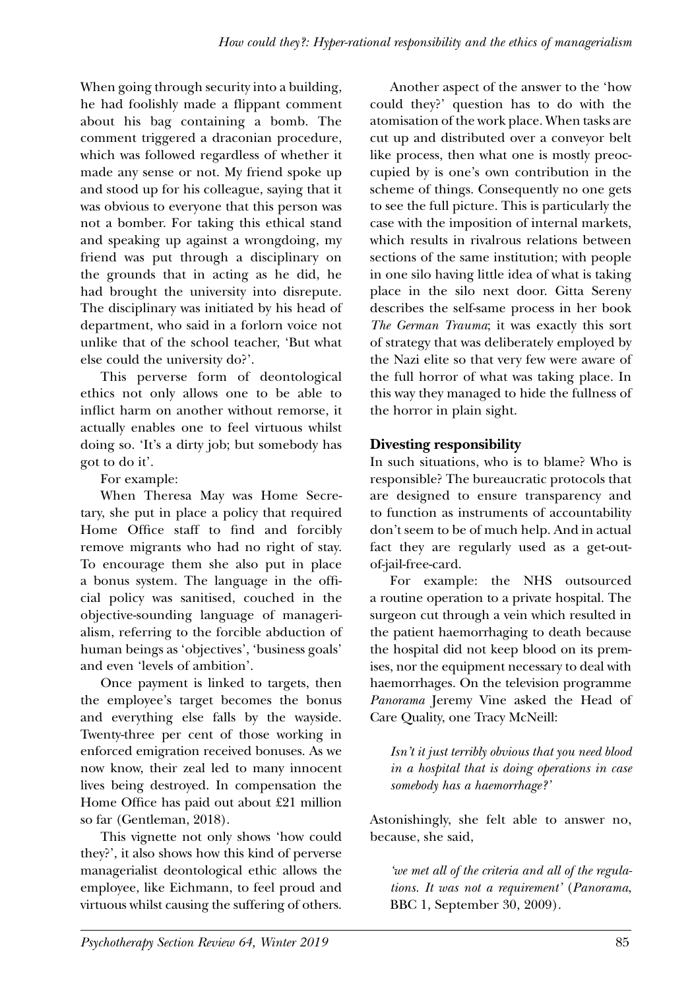When going through security into a building, he had foolishly made a flippant comment about his bag containing a bomb. The comment triggered a draconian procedure, which was followed regardless of whether it made any sense or not. My friend spoke up and stood up for his colleague, saying that it was obvious to everyone that this person was not a bomber. For taking this ethical stand and speaking up against a wrongdoing, my friend was put through a disciplinary on the grounds that in acting as he did, he had brought the university into disrepute. The disciplinary was initiated by his head of department, who said in a forlorn voice not unlike that of the school teacher, 'But what else could the university do?'.

This perverse form of deontological ethics not only allows one to be able to inflict harm on another without remorse, it actually enables one to feel virtuous whilst doing so. 'It's a dirty job; but somebody has got to do it'.

For example:

When Theresa May was Home Secretary, she put in place a policy that required Home Office staff to find and forcibly remove migrants who had no right of stay. To encourage them she also put in place a bonus system. The language in the official policy was sanitised, couched in the objective-sounding language of managerialism, referring to the forcible abduction of human beings as 'objectives', 'business goals' and even 'levels of ambition'.

Once payment is linked to targets, then the employee's target becomes the bonus and everything else falls by the wayside. Twenty-three per cent of those working in enforced emigration received bonuses. As we now know, their zeal led to many innocent lives being destroyed. In compensation the Home Office has paid out about £21 million so far (Gentleman, 2018).

This vignette not only shows 'how could they?', it also shows how this kind of perverse managerialist deontological ethic allows the employee, like Eichmann, to feel proud and virtuous whilst causing the suffering of others.

Another aspect of the answer to the 'how could they?' question has to do with the atomisation of the work place. When tasks are cut up and distributed over a conveyor belt like process, then what one is mostly preoccupied by is one's own contribution in the scheme of things. Consequently no one gets to see the full picture. This is particularly the case with the imposition of internal markets, which results in rivalrous relations between sections of the same institution; with people in one silo having little idea of what is taking place in the silo next door. Gitta Sereny describes the self-same process in her book *The German Trauma*; it was exactly this sort of strategy that was deliberately employed by the Nazi elite so that very few were aware of the full horror of what was taking place. In this way they managed to hide the fullness of the horror in plain sight.

# **Divesting responsibility**

In such situations, who is to blame? Who is responsible? The bureaucratic protocols that are designed to ensure transparency and to function as instruments of accountability don't seem to be of much help. And in actual fact they are regularly used as a get-outof-jail-free-card.

For example: the NHS outsourced a routine operation to a private hospital. The surgeon cut through a vein which resulted in the patient haemorrhaging to death because the hospital did not keep blood on its premises, nor the equipment necessary to deal with haemorrhages. On the television programme *Panorama* Jeremy Vine asked the Head of Care Quality, one Tracy McNeill:

*Isn't it just terribly obvious that you need blood in a hospital that is doing operations in case somebody has a haemorrhage?'* 

Astonishingly, she felt able to answer no, because, she said,

*'we met all of the criteria and all of the regulations. It was not a requirement'* (*Panorama*, BBC 1, September 30, 2009).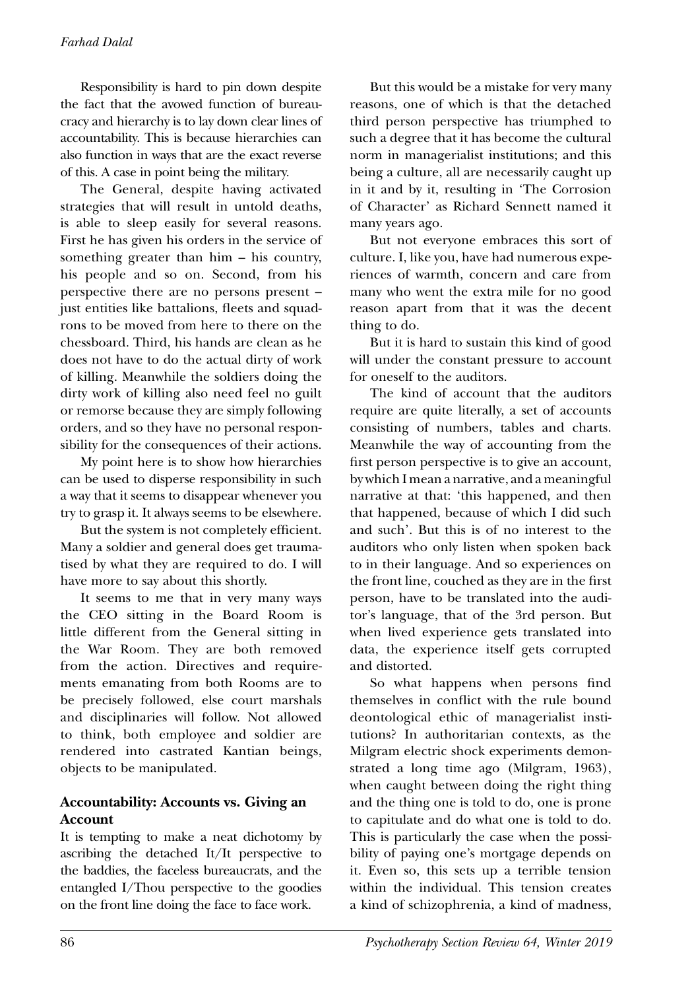#### *Farhad Dalal*

Responsibility is hard to pin down despite the fact that the avowed function of bureaucracy and hierarchy is to lay down clear lines of accountability. This is because hierarchies can also function in ways that are the exact reverse of this. A case in point being the military.

The General, despite having activated strategies that will result in untold deaths, is able to sleep easily for several reasons. First he has given his orders in the service of something greater than him – his country, his people and so on. Second, from his perspective there are no persons present – just entities like battalions, fleets and squadrons to be moved from here to there on the chessboard. Third, his hands are clean as he does not have to do the actual dirty of work of killing. Meanwhile the soldiers doing the dirty work of killing also need feel no guilt or remorse because they are simply following orders, and so they have no personal responsibility for the consequences of their actions.

My point here is to show how hierarchies can be used to disperse responsibility in such a way that it seems to disappear whenever you try to grasp it. It always seems to be elsewhere.

But the system is not completely efficient. Many a soldier and general does get traumatised by what they are required to do. I will have more to say about this shortly.

It seems to me that in very many ways the CEO sitting in the Board Room is little different from the General sitting in the War Room. They are both removed from the action. Directives and requirements emanating from both Rooms are to be precisely followed, else court marshals and disciplinaries will follow. Not allowed to think, both employee and soldier are rendered into castrated Kantian beings, objects to be manipulated.

## **Accountability: Accounts vs. Giving an Account**

It is tempting to make a neat dichotomy by ascribing the detached It/It perspective to the baddies, the faceless bureaucrats, and the entangled I/Thou perspective to the goodies on the front line doing the face to face work.

But this would be a mistake for very many reasons, one of which is that the detached third person perspective has triumphed to such a degree that it has become the cultural norm in managerialist institutions; and this being a culture, all are necessarily caught up in it and by it, resulting in 'The Corrosion of Character' as Richard Sennett named it many years ago.

But not everyone embraces this sort of culture. I, like you, have had numerous experiences of warmth, concern and care from many who went the extra mile for no good reason apart from that it was the decent thing to do.

But it is hard to sustain this kind of good will under the constant pressure to account for oneself to the auditors.

The kind of account that the auditors require are quite literally, a set of accounts consisting of numbers, tables and charts. Meanwhile the way of accounting from the first person perspective is to give an account, by which I mean a narrative, and a meaningful narrative at that: 'this happened, and then that happened, because of which I did such and such'. But this is of no interest to the auditors who only listen when spoken back to in their language. And so experiences on the front line, couched as they are in the first person, have to be translated into the auditor's language, that of the 3rd person. But when lived experience gets translated into data, the experience itself gets corrupted and distorted.

So what happens when persons find themselves in conflict with the rule bound deontological ethic of managerialist institutions? In authoritarian contexts, as the Milgram electric shock experiments demonstrated a long time ago (Milgram, 1963), when caught between doing the right thing and the thing one is told to do, one is prone to capitulate and do what one is told to do. This is particularly the case when the possibility of paying one's mortgage depends on it. Even so, this sets up a terrible tension within the individual. This tension creates a kind of schizophrenia, a kind of madness,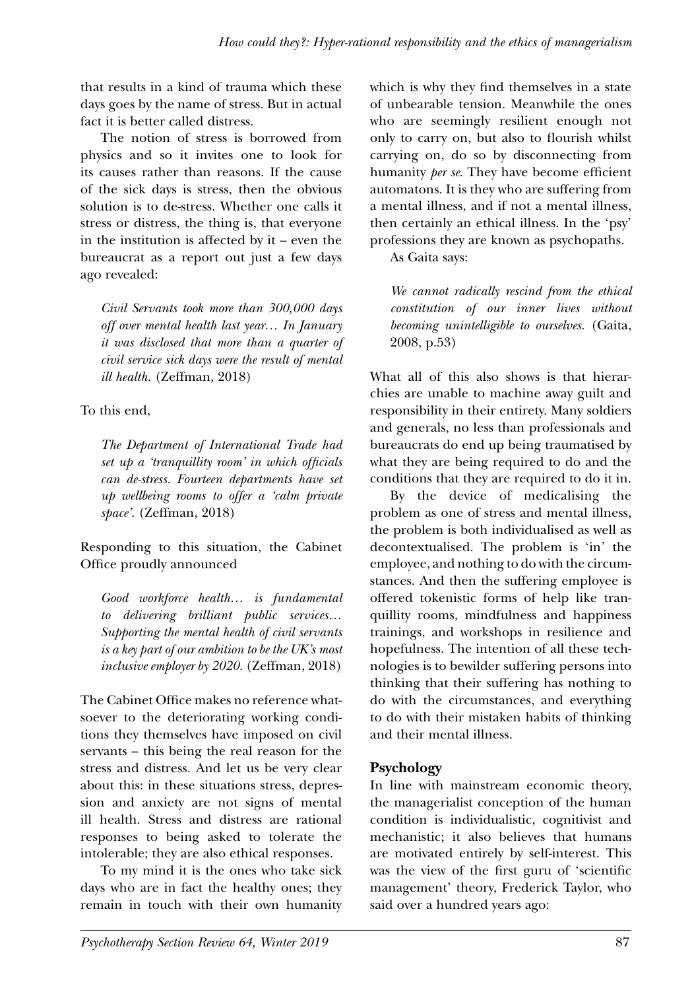that results in a kind of trauma which these days goes by the name of stress. But in actual fact it is better called distress.

The notion of stress is borrowed from physics and so it invites one to look for its causes rather than reasons. If the cause of the sick days is stress, then the obvious solution is to de-stress. Whether one calls it stress or distress, the thing is, that everyone in the institution is affected by it – even the bureaucrat as a report out just a few days ago revealed:

*Civil Servants took more than 300,000 days off over mental health last year… In January it was disclosed that more than a quarter of civil service sick days were the result of mental ill health.* (Zeffman, 2018)

To this end,

*The Department of International Trade had set up a 'tranquillity room' in which officials can de-stress. Fourteen departments have set up wellbeing rooms to offer a 'calm private space'.* (Zeffman, 2018)

Responding to this situation, the Cabinet Office proudly announced

*Good workforce health… is fundamental to delivering brilliant public services… Supporting the mental health of civil servants is a key part of our ambition to be the UK's most inclusive employer by 2020.* (Zeffman, 2018)

The Cabinet Office makes no reference whatsoever to the deteriorating working conditions they themselves have imposed on civil servants – this being the real reason for the stress and distress. And let us be very clear about this: in these situations stress, depression and anxiety are not signs of mental ill health. Stress and distress are rational responses to being asked to tolerate the intolerable; they are also ethical responses.

To my mind it is the ones who take sick days who are in fact the healthy ones; they remain in touch with their own humanity which is why they find themselves in a state of unbearable tension. Meanwhile the ones who are seemingly resilient enough not only to carry on, but also to flourish whilst carrying on, do so by disconnecting from humanity *per se*. They have become efficient automatons. It is they who are suffering from a mental illness, and if not a mental illness, then certainly an ethical illness. In the 'psy' professions they are known as psychopaths.

As Gaita says:

*We cannot radically rescind from the ethical constitution of our inner lives without becoming unintelligible to ourselves.* (Gaita, 2008, p.53)

What all of this also shows is that hierarchies are unable to machine away guilt and responsibility in their entirety. Many soldiers and generals, no less than professionals and bureaucrats do end up being traumatised by what they are being required to do and the conditions that they are required to do it in.

By the device of medicalising the problem as one of stress and mental illness, the problem is both individualised as well as decontextualised. The problem is 'in' the employee, and nothing to do with the circumstances. And then the suffering employee is offered tokenistic forms of help like tranquillity rooms, mindfulness and happiness trainings, and workshops in resilience and hopefulness. The intention of all these technologies is to bewilder suffering persons into thinking that their suffering has nothing to do with the circumstances, and everything to do with their mistaken habits of thinking and their mental illness.

# **Psychology**

In line with mainstream economic theory, the managerialist conception of the human condition is individualistic, cognitivist and mechanistic; it also believes that humans are motivated entirely by self-interest. This was the view of the first guru of 'scientific management' theory, Frederick Taylor, who said over a hundred years ago: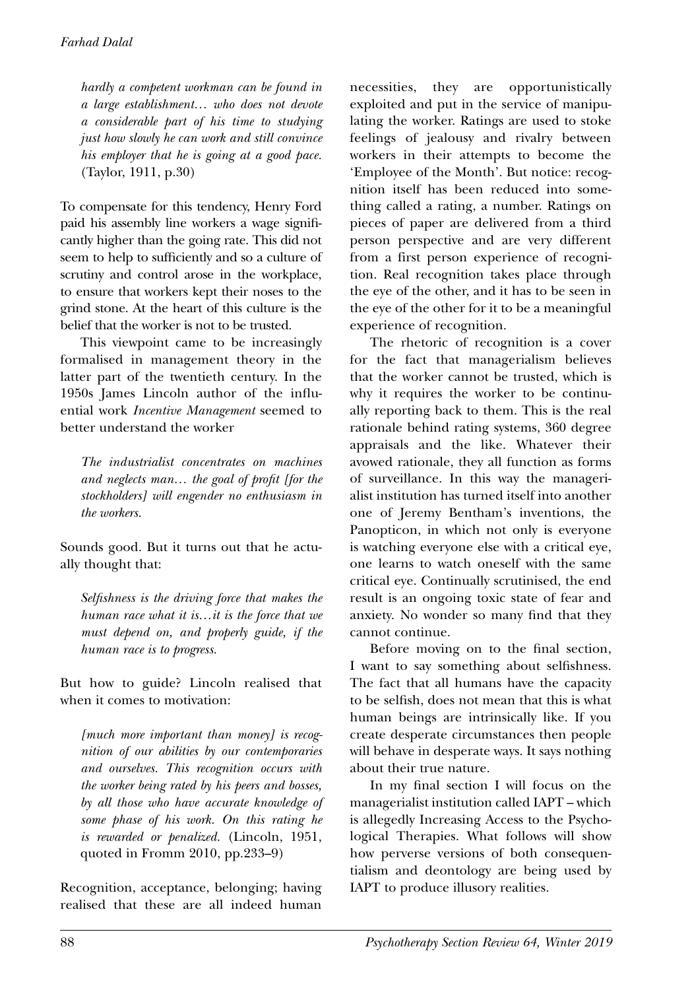*hardly a competent workman can be found in a large establishment… who does not devote a considerable part of his time to studying just how slowly he can work and still convince his employer that he is going at a good pace.*  (Taylor, 1911, p.30)

To compensate for this tendency, Henry Ford paid his assembly line workers a wage significantly higher than the going rate. This did not seem to help to sufficiently and so a culture of scrutiny and control arose in the workplace, to ensure that workers kept their noses to the grind stone. At the heart of this culture is the belief that the worker is not to be trusted.

This viewpoint came to be increasingly formalised in management theory in the latter part of the twentieth century. In the 1950s James Lincoln author of the influential work *Incentive Management* seemed to better understand the worker

*The industrialist concentrates on machines and neglects man… the goal of profit [for the stockholders] will engender no enthusiasm in the workers.*

Sounds good. But it turns out that he actually thought that:

*Selfishness is the driving force that makes the human race what it is…it is the force that we must depend on, and properly guide, if the human race is to progress.*

But how to guide? Lincoln realised that when it comes to motivation:

*[much more important than money] is recognition of our abilities by our contemporaries and ourselves. This recognition occurs with the worker being rated by his peers and bosses, by all those who have accurate knowledge of some phase of his work. On this rating he is rewarded or penalized.* (Lincoln, 1951, quoted in Fromm 2010, pp.233–9)

Recognition, acceptance, belonging; having realised that these are all indeed human necessities, they are opportunistically exploited and put in the service of manipulating the worker. Ratings are used to stoke feelings of jealousy and rivalry between workers in their attempts to become the 'Employee of the Month'. But notice: recognition itself has been reduced into something called a rating, a number. Ratings on pieces of paper are delivered from a third person perspective and are very different from a first person experience of recognition. Real recognition takes place through the eye of the other, and it has to be seen in the eye of the other for it to be a meaningful experience of recognition.

The rhetoric of recognition is a cover for the fact that managerialism believes that the worker cannot be trusted, which is why it requires the worker to be continually reporting back to them. This is the real rationale behind rating systems, 360 degree appraisals and the like. Whatever their avowed rationale, they all function as forms of surveillance. In this way the managerialist institution has turned itself into another one of Jeremy Bentham's inventions, the Panopticon, in which not only is everyone is watching everyone else with a critical eye, one learns to watch oneself with the same critical eye. Continually scrutinised, the end result is an ongoing toxic state of fear and anxiety. No wonder so many find that they cannot continue.

Before moving on to the final section, I want to say something about selfishness. The fact that all humans have the capacity to be selfish, does not mean that this is what human beings are intrinsically like. If you create desperate circumstances then people will behave in desperate ways. It says nothing about their true nature.

In my final section I will focus on the managerialist institution called IAPT – which is allegedly Increasing Access to the Psychological Therapies. What follows will show how perverse versions of both consequentialism and deontology are being used by IAPT to produce illusory realities.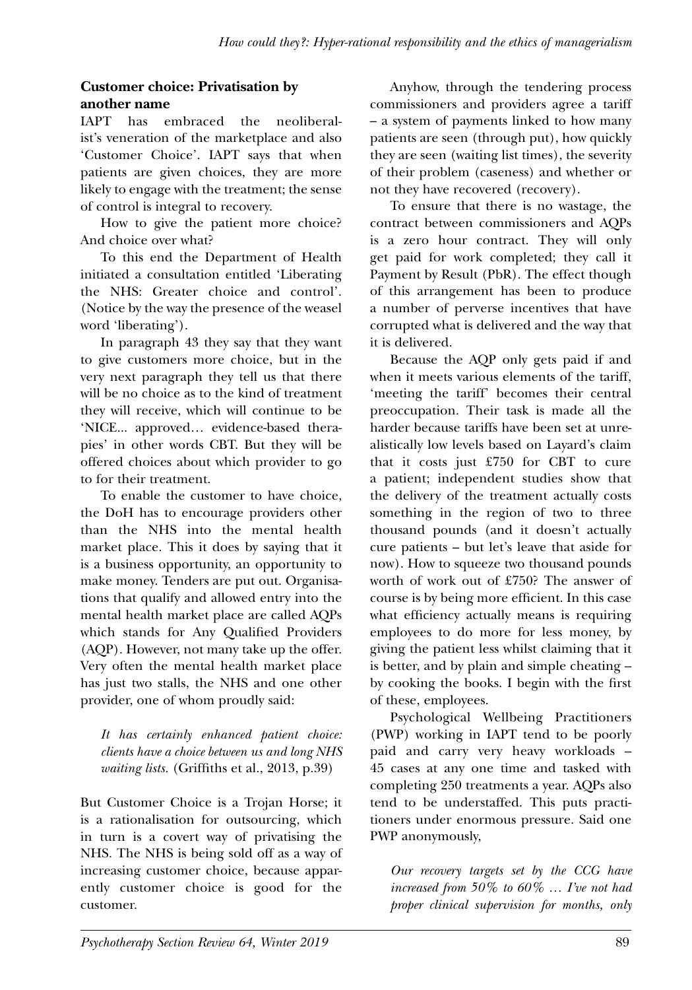## **Customer choice: Privatisation by another name**

IAPT has embraced the neoliberalist's veneration of the marketplace and also 'Customer Choice'. IAPT says that when patients are given choices, they are more likely to engage with the treatment; the sense of control is integral to recovery.

How to give the patient more choice? And choice over what?

To this end the Department of Health initiated a consultation entitled 'Liberating the NHS: Greater choice and control'. (Notice by the way the presence of the weasel word 'liberating').

In paragraph 43 they say that they want to give customers more choice, but in the very next paragraph they tell us that there will be no choice as to the kind of treatment they will receive, which will continue to be 'NICE... approved… evidence-based therapies' in other words CBT. But they will be offered choices about which provider to go to for their treatment.

To enable the customer to have choice, the DoH has to encourage providers other than the NHS into the mental health market place. This it does by saying that it is a business opportunity, an opportunity to make money. Tenders are put out. Organisations that qualify and allowed entry into the mental health market place are called AQPs which stands for Any Qualified Providers (AQP). However, not many take up the offer. Very often the mental health market place has just two stalls, the NHS and one other provider, one of whom proudly said:

*It has certainly enhanced patient choice: clients have a choice between us and long NHS waiting lists.* (Griffiths et al., 2013, p.39)

But Customer Choice is a Trojan Horse; it is a rationalisation for outsourcing, which in turn is a covert way of privatising the NHS. The NHS is being sold off as a way of increasing customer choice, because apparently customer choice is good for the customer.

Anyhow, through the tendering process commissioners and providers agree a tariff – a system of payments linked to how many patients are seen (through put), how quickly they are seen (waiting list times), the severity of their problem (caseness) and whether or not they have recovered (recovery).

To ensure that there is no wastage, the contract between commissioners and AQPs is a zero hour contract. They will only get paid for work completed; they call it Payment by Result (PbR). The effect though of this arrangement has been to produce a number of perverse incentives that have corrupted what is delivered and the way that it is delivered.

Because the AQP only gets paid if and when it meets various elements of the tariff, 'meeting the tariff' becomes their central preoccupation. Their task is made all the harder because tariffs have been set at unrealistically low levels based on Layard's claim that it costs just £750 for CBT to cure a patient; independent studies show that the delivery of the treatment actually costs something in the region of two to three thousand pounds (and it doesn't actually cure patients – but let's leave that aside for now). How to squeeze two thousand pounds worth of work out of £750? The answer of course is by being more efficient. In this case what efficiency actually means is requiring employees to do more for less money, by giving the patient less whilst claiming that it is better, and by plain and simple cheating – by cooking the books. I begin with the first of these, employees.

Psychological Wellbeing Practitioners (PWP) working in IAPT tend to be poorly paid and carry very heavy workloads – 45 cases at any one time and tasked with completing 250 treatments a year. AQPs also tend to be understaffed. This puts practitioners under enormous pressure. Said one PWP anonymously,

*Our recovery targets set by the CCG have increased from 50% to 60% … I've not had proper clinical supervision for months, only*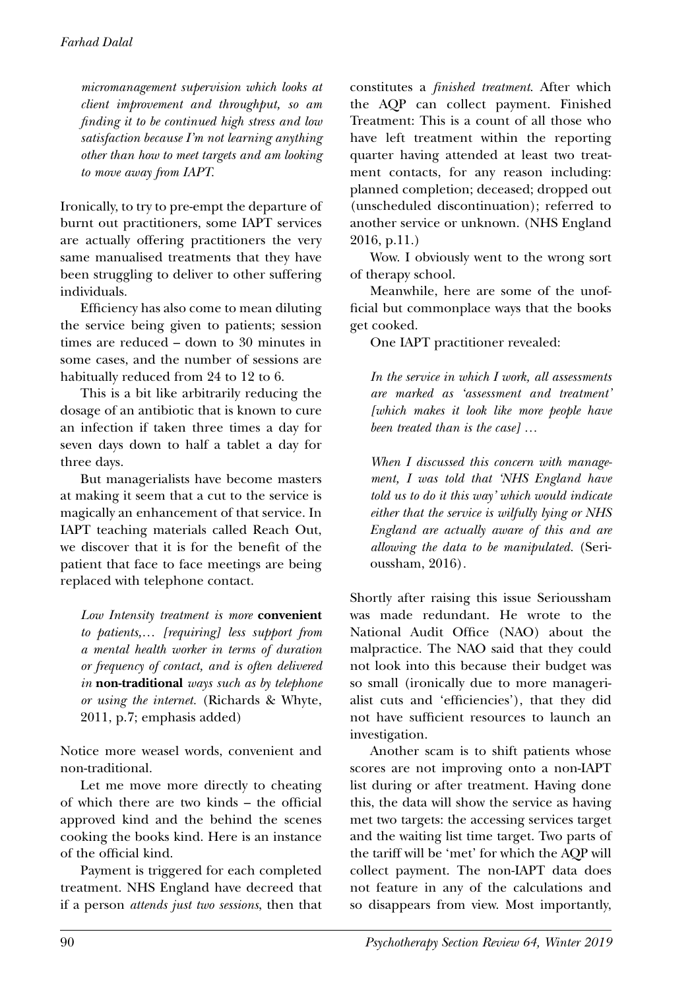*micromanagement supervision which looks at client improvement and throughput, so am finding it to be continued high stress and low satisfaction because I'm not learning anything other than how to meet targets and am looking to move away from IAPT.*

Ironically, to try to pre-empt the departure of burnt out practitioners, some IAPT services are actually offering practitioners the very same manualised treatments that they have been struggling to deliver to other suffering individuals.

Efficiency has also come to mean diluting the service being given to patients; session times are reduced – down to 30 minutes in some cases, and the number of sessions are habitually reduced from 24 to 12 to 6.

This is a bit like arbitrarily reducing the dosage of an antibiotic that is known to cure an infection if taken three times a day for seven days down to half a tablet a day for three days.

But managerialists have become masters at making it seem that a cut to the service is magically an enhancement of that service. In IAPT teaching materials called Reach Out, we discover that it is for the benefit of the patient that face to face meetings are being replaced with telephone contact.

*Low Intensity treatment is more* **convenient** *to patients,… [requiring] less support from a mental health worker in terms of duration or frequency of contact, and is often delivered in* **non-traditional** *ways such as by telephone or using the internet.* (Richards & Whyte, 2011, p.7; emphasis added)

Notice more weasel words, convenient and non-traditional.

Let me move more directly to cheating of which there are two kinds – the official approved kind and the behind the scenes cooking the books kind. Here is an instance of the official kind.

Payment is triggered for each completed treatment. NHS England have decreed that if a person *attends just two sessions*, then that constitutes a *finished treatment*. After which the AQP can collect payment. Finished Treatment: This is a count of all those who have left treatment within the reporting quarter having attended at least two treatment contacts, for any reason including: planned completion; deceased; dropped out (unscheduled discontinuation); referred to another service or unknown. (NHS England 2016, p.11.)

Wow. I obviously went to the wrong sort of therapy school.

Meanwhile, here are some of the unofficial but commonplace ways that the books get cooked.

One IAPT practitioner revealed:

*In the service in which I work, all assessments are marked as 'assessment and treatment' [which makes it look like more people have been treated than is the case] …* 

*When I discussed this concern with management, I was told that 'NHS England have told us to do it this way' which would indicate either that the service is wilfully lying or NHS England are actually aware of this and are allowing the data to be manipulated.* (Serioussham, 2016)*.*

Shortly after raising this issue Serioussham was made redundant. He wrote to the National Audit Office (NAO) about the malpractice. The NAO said that they could not look into this because their budget was so small (ironically due to more managerialist cuts and 'efficiencies'), that they did not have sufficient resources to launch an investigation.

Another scam is to shift patients whose scores are not improving onto a non-IAPT list during or after treatment. Having done this, the data will show the service as having met two targets: the accessing services target and the waiting list time target. Two parts of the tariff will be 'met' for which the AQP will collect payment. The non-IAPT data does not feature in any of the calculations and so disappears from view. Most importantly,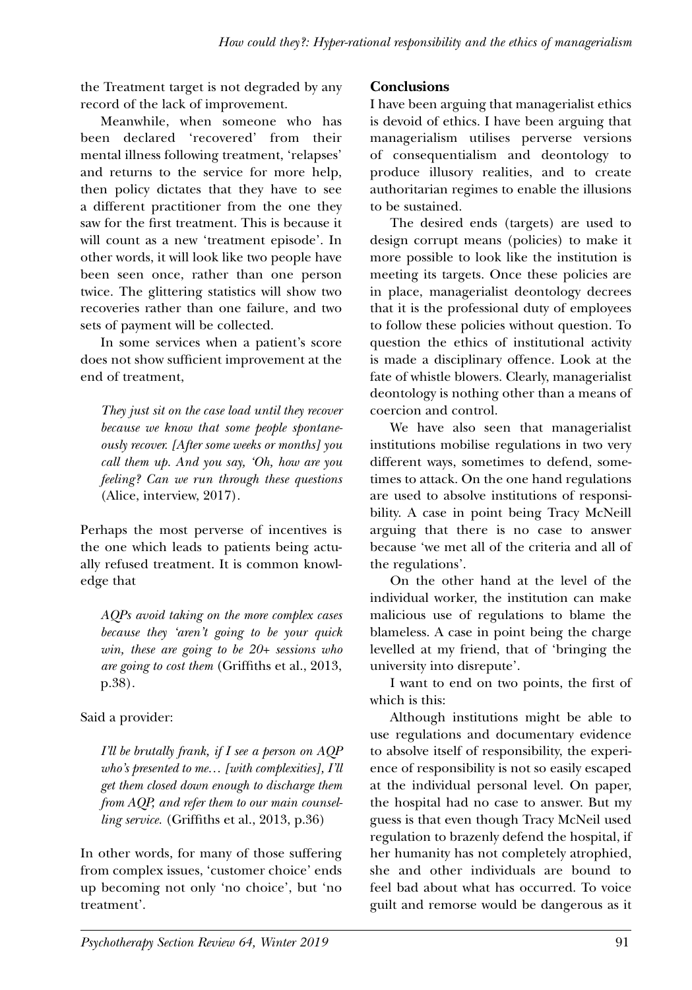the Treatment target is not degraded by any record of the lack of improvement.

Meanwhile, when someone who has been declared 'recovered' from their mental illness following treatment, 'relapses' and returns to the service for more help, then policy dictates that they have to see a different practitioner from the one they saw for the first treatment. This is because it will count as a new 'treatment episode'. In other words, it will look like two people have been seen once, rather than one person twice. The glittering statistics will show two recoveries rather than one failure, and two sets of payment will be collected.

In some services when a patient's score does not show sufficient improvement at the end of treatment,

*They just sit on the case load until they recover because we know that some people spontaneously recover. [After some weeks or months] you call them up. And you say, 'Oh, how are you feeling? Can we run through these questions*  (Alice, interview, 2017).

Perhaps the most perverse of incentives is the one which leads to patients being actually refused treatment. It is common knowledge that

*AQPs avoid taking on the more complex cases because they 'aren't going to be your quick win, these are going to be 20+ sessions who are going to cost them* (Griffiths et al., 2013, p.38).

# Said a provider:

*I'll be brutally frank, if I see a person on AQP who's presented to me… [with complexities], I'll get them closed down enough to discharge them from AQP, and refer them to our main counselling service.* (Griffiths et al., 2013, p.36)

In other words, for many of those suffering from complex issues, 'customer choice' ends up becoming not only 'no choice', but 'no treatment'.

# **Conclusions**

I have been arguing that managerialist ethics is devoid of ethics. I have been arguing that managerialism utilises perverse versions of consequentialism and deontology to produce illusory realities, and to create authoritarian regimes to enable the illusions to be sustained.

The desired ends (targets) are used to design corrupt means (policies) to make it more possible to look like the institution is meeting its targets. Once these policies are in place, managerialist deontology decrees that it is the professional duty of employees to follow these policies without question. To question the ethics of institutional activity is made a disciplinary offence. Look at the fate of whistle blowers. Clearly, managerialist deontology is nothing other than a means of coercion and control.

We have also seen that managerialist institutions mobilise regulations in two very different ways, sometimes to defend, sometimes to attack. On the one hand regulations are used to absolve institutions of responsibility. A case in point being Tracy McNeill arguing that there is no case to answer because 'we met all of the criteria and all of the regulations'.

On the other hand at the level of the individual worker, the institution can make malicious use of regulations to blame the blameless. A case in point being the charge levelled at my friend, that of 'bringing the university into disrepute'.

I want to end on two points, the first of which is this:

Although institutions might be able to use regulations and documentary evidence to absolve itself of responsibility, the experience of responsibility is not so easily escaped at the individual personal level. On paper, the hospital had no case to answer. But my guess is that even though Tracy McNeil used regulation to brazenly defend the hospital, if her humanity has not completely atrophied, she and other individuals are bound to feel bad about what has occurred. To voice guilt and remorse would be dangerous as it